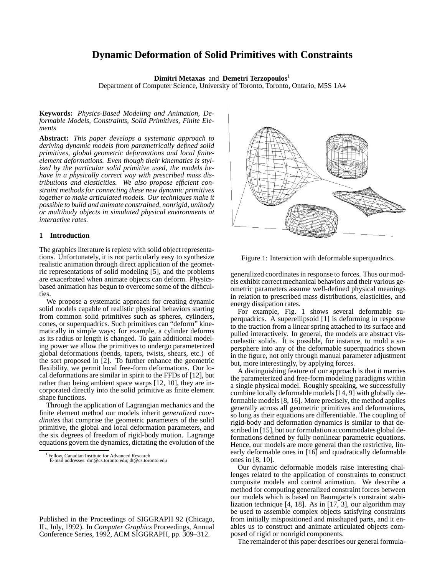# **Dynamic Deformation of Solid Primitives with Constraints**

**Dimitri Metaxas** and **Demetri Terzopoulos**<sup>1</sup>

Department of Computer Science, University of Toronto, Toronto, Ontario, M5S 1A4

**Keywords:** *Physics-Based Modeling and Animation, Deformable Models, Constraints, Solid Primitives, Finite Elements*

**Abstract:** *This paper develops a systematic approach to deriving dynamic models from parametrically defined solid primitives, global geometric deformations and local finiteelement deformations. Even though their kinematics is stylized by the particular solid primitive used, the models behave in a physically correct way with prescribed mass distributions and elasticities. We also propose efficient constraint methods for connecting these new dynamic primitives together to make articulated models. Our techniques make it possible to build and animate constrained, nonrigid, unibody or multibody objects in simulated physical environments at interactive rates.*

### **1 Introduction**

The graphics literature is replete with solid object representations. Unfortunately, it is not particularly easy to synthesize realistic animation through direct application of the geometric representations of solid modeling [5], and the problems are exacerbated when animate objects can deform. Physicsbased animation has begun to overcome some of the difficulties.

We propose a systematic approach for creating dynamic solid models capable of realistic physical behaviors starting from common solid primitives such as spheres, cylinders, cones, or superquadrics. Such primitives can "deform" kinematically in simple ways; for example, a cylinder deforms as its radius or length is changed. To gain additional modeling power we allow the primitives to undergo parameterized global deformations (bends, tapers, twists, shears, etc.) of the sort proposed in [2]. To further enhance the geometric flexibility, we permit local free-form deformations. Our local deformations are similar in spirit to the FFDs of [12], but rather than being ambient space warps [12, 10], they are incorporated directly into the solid primitive as finite element shape functions.

Through the application of Lagrangian mechanics and the finite element method our models inherit *generalized coordinates* that comprise the geometric parameters of the solid primitive, the global and local deformation parameters, and the six degrees of freedom of rigid-body motion. Lagrange equations govern the dynamics, dictating the evolution of the

Published in the Proceedings of SIGGRAPH 92 (Chicago, IL, July, 1992). In *Computer Graphics* Proceedings, Annual Conference Series, 1992, ACM SIGGRAPH, pp. 309–312.



Figure 1: Interaction with deformable superquadrics.

generalized coordinates in response to forces. Thus our models exhibit correct mechanical behaviors and their various geometric parameters assume well-defined physical meanings in relation to prescribed mass distributions, elasticities, and energy dissipation rates.

For example, Fig. 1 shows several deformable superquadrics. A superellipsoid [1] is deforming in response to the traction from a linear spring attached to its surface and pulled interactively. In general, the models are abstract viscoelastic solids. It is possible, for instance, to mold a supersphere into any of the deformable superquadrics shown in the figure, not only through manual parameter adjustment but, more interestingly, by applying forces.

A distinguishing feature of our approach is that it marries the parameterized and free-form modeling paradigms within a single physical model. Roughly speaking, we successfully combine locally deformable models [14, 9] with globally deformable models [8, 16]. More precisely, the method applies generally across all geometric primitives and deformations, so long as their equations are differentiable. The coupling of rigid-body and deformation dynamics is similar to that described in [15], but our formulation accommodates global deformations defined by fully nonlinear parametric equations. Hence, our models are more general than the restrictive, linearly deformable ones in [16] and quadratically deformable ones in [8, 10].

Our dynamic deformable models raise interesting challenges related to the application of constraints to construct composite models and control animation. We describe a method for computing generalized constraint forces between our models which is based on Baumgarte's constraint stabilization technique [4, 18]. As in [17, 3], our algorithm may be used to assemble complex objects satisfying constraints from initially mispositioned and misshaped parts, and it enables us to construct and animate articulated objects composed of rigid or nonrigid components.

The remainder of this paper describes our general formula-

<sup>1</sup> Fellow, Canadian Institute for Advanced Research E-mail addresses: dm@cs.toronto.edu; dt@cs.toronto.edu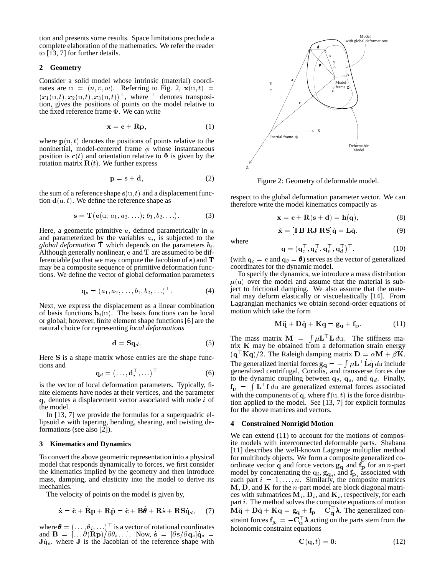tion and presents some results. Space limitations preclude a complete elaboration of the mathematics. We refer the reader to [13, 7] for further details.

## **2 Geometry**

Consider a solid model whose intrinsic (material) coordinates are  $u = (u, v, w)$ . Referring to Fig. 2,  $\mathbf{x}(u, t)$  =  $(x_1(u, t), x_2(u, t), x_3(u, t))$ , where denotes transposition, gives the positions of points on the model relative to the fixed reference frame  $\Phi$ . We can write

$$
\mathbf{x} = \mathbf{c} + \mathbf{R}\mathbf{p},\tag{1}
$$

where  $p(u, t)$  denotes the positions of points relative to the noninertial, model-centered frame  $\phi$  whose instantaneous position is  $c(t)$  and orientation relative to  $\Phi$  is given by the rotation matrix  $\mathbf{R}(t)$ . We further express

$$
\mathbf{p} = \mathbf{s} + \mathbf{d},\tag{2}
$$

the sum of a reference shape  $s(u, t)$  and a displacement function  $\mathbf{d}(u, t)$ . We define the reference shape as

$$
s = \mathbf{T}(\mathbf{e}(\mathbf{u}; a_1, a_2, \ldots); b_1, b_2, \ldots). \tag{3}
$$

Here, a geometric primitive e, defined parametrically in  $u$ and parameterized by the variables  $a_i$ , is subjected to the *global deformation*  $\mathbf T$  which depends on the parameters  $b_i$ . Although generally nonlinear,  $e$  and  $T$  are assumed to be differentiable (so that we may compute the Jacobian of <sup>s</sup>) and <sup>T</sup> may be a composite sequence of primitive deformation functions. We define the vector of global deformation parameters

$$
\mathbf{q}_s = (a_1, a_2, \dots, b_1, b_2, \dots)^\top. \tag{4}
$$

Next, we express the displacement as a linear combination of basis functions  $\mathbf{b}_i(\mathbf{u})$ . The basis functions can be local or global; however, finite element shape functions [6] are the natural choice for representing *local deformations*

$$
\mathbf{d} = \mathbf{Sq}_{d}.\tag{5}
$$

Here <sup>S</sup> is a shape matrix whose entries are the shape functions and

$$
\mathbf{q}_d = (\dots, \mathbf{d}_i^\top, \dots)^\top \tag{6}
$$

is the vector of local deformation parameters. Typically, finite elements have nodes at their vertices, and the parameter  $q_i$  denotes a displacement vector associated with node i of the model.

In [13, 7] we provide the formulas for a superquadric ellipsoid <sup>e</sup> with tapering, bending, shearing, and twisting deformations (see also [2]).

#### **3 Kinematics and Dynamics**

To convert the above geometric representation into a physical model that responds dynamically to forces, we first consider the kinematics implied by the geometry and then introduce mass, damping, and elasticity into the model to derive its mechanics.

The velocity of points on the model is given by,

$$
\dot{\mathbf{x}} = \dot{\mathbf{c}} + \mathbf{R}\mathbf{p} + \mathbf{R}\dot{\mathbf{p}} = \dot{\mathbf{c}} + \mathbf{B}\boldsymbol{\theta} + \mathbf{R}\dot{\mathbf{s}} + \mathbf{R}\mathbf{S}\dot{\mathbf{q}}_d, \quad (7)
$$

where  $\boldsymbol{\theta} = (\ldots, \theta_i, \ldots)^\top$  is a vector of rotational coordinates and  $\mathbf{B} = [\cdot \cdot \cdot \partial(\mathbf{Rp})/\partial \theta_i \cdot \cdot \cdot]$ . Now,  $\dot{\mathbf{s}} = [\partial \mathbf{s}/\partial \mathbf{q}_s] \dot{\mathbf{q}}_s =$  $J\dot{q}_s$ , where J is the Jacobian of the reference shape with



Figure 2: Geometry of deformable model.

respect to the global deformation parameter vector. We can therefore write the model kinematics compactly as

$$
\mathbf{x} = \mathbf{c} + \mathbf{R}(\mathbf{s} + \mathbf{d}) = \mathbf{h}(\mathbf{q}),\tag{8}
$$

$$
\dot{\mathbf{x}} = [\mathbf{I} \ \mathbf{B} \ \mathbf{R} \mathbf{J} \ \mathbf{R} \mathbf{S}] \dot{\mathbf{q}} = \mathbf{L} \dot{\mathbf{q}},\tag{9}
$$

where

 $\mathbf{q} = (\mathbf{q}_c^-, \mathbf{q}_\theta^-, \mathbf{q}_s^-, \mathbf{q}_d^+)$  ,  $(10)$ (with  $\mathbf{q}_c = \mathbf{c}$  and  $\mathbf{q}_\theta = \mathbf{\theta}$ ) serves as the vector of generalized

coordinates for the dynamic model. To specify the dynamics, we introduce a mass distribution  $\mu(u)$  over the model and assume that the material is subject to frictional damping. We also assume that the material may deform elastically or viscoelastically [14]. From Lagrangian mechanics we obtain second-order equations of motion which take the form

$$
M\ddot{q} + D\dot{q} + Kq = g_q + f_p. \tag{11}
$$

The mass matrix  $\mathbf{M} = \int \mu \mathbf{L}^{\dagger} \mathbf{L} \, d\mathbf{u}$ . The stiffness matrix  $K$  may be obtained from a deformation strain energy  $({\bf q} \cdot {\bf K} {\bf q})/2$ . The Raleigh damping matrix  ${\bf D} = \alpha {\bf M} + \beta {\bf K}$ . The generalized inertial forces  $\mathbf{g}_{\mathbf{q}} = -\int \mu \mathbf{L}^{\top} \mathbf{L} \dot{\mathbf{q}} d\mathbf{u}$  include generalized centrifugal, Coriolis, and transverse forces due to the dynamic coupling between  $\mathbf{q}_{\theta}$ ,  $\mathbf{q}_s$ , and  $\mathbf{q}_d$ . Finally,  $f_{\rm p} = \int L^{\dagger} f \, du$  are generalized external forces associated with the components of q, where  $f(u, t)$  is the force distribution applied to the model. See [13, 7] for explicit formulas for the above matrices and vectors.

#### **4 Constrained Nonrigid Motion**

We can extend  $(11)$  to account for the motions of composite models with interconnected deformable parts. Shabana [11] describes the well-known Lagrange multiplier method for multibody objects. We form a composite generalized coordinate vector q and force vectors  $g_q$  and  $f_p$  for an *n*-part model by concatenating the  $q_i$ ,  $q_i$ , and  $f_{p_i}$  associated with each part  $i = 1, \ldots, n$ . Similarly, the composite matrices  $M$ ,  $D$ , and  $K$  for the *n*-part model are block diagonal matrices with submatrices  $M_i$ ,  $D_i$ , and  $K_i$ , respectively, for each part *i*. The method solves the composite equations of motion  $M\ddot{q} + D\dot{q} + Kq = g_q + f_p - C_q^{\dagger} \lambda$ . The generalized constraint forces  $\mathbf{f}_{g_c} = -\mathbf{C}^{\top}_{\mathbf{a}} \boldsymbol{\lambda}$  acting on the parts stem from the holonomic constraint equations

$$
\mathbf{C}(\mathbf{q},t) = \mathbf{0};\tag{12}
$$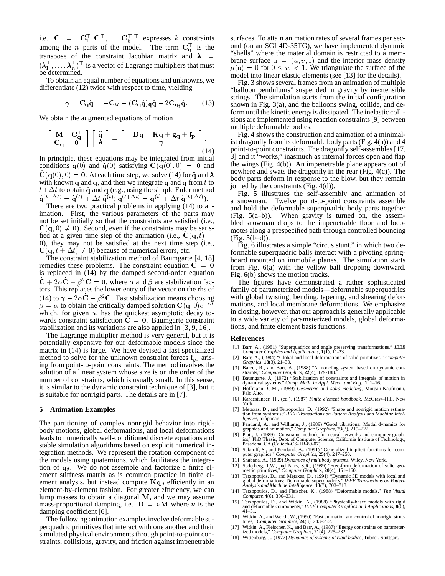i.e.,  $C = [C_1^+, C_2^+, \ldots, C_k^+]^\top$  expresses k constraints among the *n* parts of the model. The term  $C_{\alpha}^{\dagger}$  is the transpose of the constraint Jacobian matrix and  $\lambda$  =  $\frac{\text{Sileus}}{\text{hence}}$  $(\lambda_1^1, \ldots, \lambda_n^1)^{\dagger}$  is a vector of Lagrange multipliers that must be determined.

To obtain an equal number of equations and unknowns, we differentiate (12) twice with respect to time, yielding

$$
\gamma = \mathbf{C}_q \ddot{\mathbf{q}} = -\mathbf{C}_{tt} - (\mathbf{C}_q \dot{\mathbf{q}})_q \dot{\mathbf{q}} - 2\mathbf{C}_{q_t} \dot{\mathbf{q}}.
$$
 (13)

We obtain the augmented equations of motion

$$
\begin{bmatrix} M & C_q^{\top} \\ C_q & 0 \end{bmatrix} \begin{bmatrix} \ddot{q} \\ \lambda \end{bmatrix} = \begin{bmatrix} -D\dot{q} - Kq + g_q + f_p \\ \gamma \end{bmatrix} \begin{bmatrix} 14 \end{bmatrix}
$$

In principle, these equations may be integrated from initial conditions  $q(0)$  and  $\dot{q}(0)$  satisfying  $C(q(0), 0) = 0$  and  $C({\bf q}(0), 0) = {\bf 0}$ . At each time step, we solve (14) for  $\ddot{\bf q}$  and  $\lambda$ with known q and  $\dot{q}$ , and then we integrate  $\ddot{q}$  and  $\dot{q}$  from t to  $t+\Delta t$  to obtain  $\dot{\mathbf{q}}$  and  $\mathbf{q}$  (e.g., using the simple Euler method  $\dot{\mathbf{q}}^{(t+\Delta t)} = \dot{\mathbf{q}}^{(t)} + \Delta t \, \ddot{\mathbf{q}}^{(t)}; \mathbf{q}^{(t+\Delta t)} = \mathbf{q}^{(t)} + \Delta t \, \dot{\mathbf{q}}^{(t+\Delta t)}).$ 

There are two practical problems in applying (14) to animation. First, the various parameters of the parts may not be set initially so that the constraints are satisfied (i.e.,  $C(q, 0) \neq 0$ ). Second, even if the constraints may be satisfied at a given time step of the animation (i.e.,  $C(q, t)$  = <sup>0</sup>), they may not be satisfied at the next time step (i.e.,  $C(q, t + \Delta t) \neq 0$ ) because of numerical errors, etc.

The constraint stabilization method of Baumgarte [4, 18] remedies these problems. The constraint equation  $C = 0$ is replaced in (14) by the damped second-order equation  $\ddot{\mathbf{C}} + 2\alpha \dot{\mathbf{C}} + \beta^2 \mathbf{C} = \mathbf{0}$ , where  $\alpha$  and  $\beta$  are stabilization factors. This replaces the lower entry of the vector on the rhs of (14) to  $\gamma - 2\alpha C - \beta^2 C$ . Fast stabilization means choosing  $\beta = \alpha$  to obtain the critically damped solution  $\mathbf{C}(\mathbf{q}, 0)e^{-\alpha t}$ which, for given  $\alpha$ , has the quickest asymptotic decay towards constraint satisfaction  $C = 0$ . Baumgarte constraint stabilization and its variations are also applied in [3, 9, 16].

The Lagrange multiplier method is very general, but it is potentially expensive for our deformable models since the matrix in (14) is large. We have devised a fast specialized method to solve for the unknown constraint forces  $f_{g_c}$  arising from point-to-point constraints. The method involves the solution of a linear system whose size is on the order of the number of constraints, which is usually small. In this sense, it is similar to the dynamic constraint technique of [3], but it is suitable for nonrigid parts. The details are in [7].

#### **5 Animation Examples**

The partitioning of complex nonrigid behavior into rigidbody motions, global deformations, and local deformations leads to numerically well-conditioned discrete equations and stable simulation algorithms based on explicit numerical integration methods. We represent the rotation component of the models using quaternions, which facilitates the integration of  $\mathbf{q}_{\theta}$ . We do not assemble and factorize a finite element stiffness matrix as is common practice in finite element analysis, but instead compute  $Kq_d$  efficiently in an element-by-element fashion. For greater efficiency, we can lump masses to obtain a diagonal <sup>M</sup>, and we may assume mass-proportional damping, i.e.  $\mathbf{D} = \nu \mathbf{M}$  where  $\nu$  is the damping coefficient [6].

The following animation examples involve deformable superquadric primitives that interact with one another and their simulated physical environments through point-to-point constraints, collisions, gravity, and friction against impenetrable surfaces. To attain animation rates of several frames per second (on an SGI 4D-35TG), we have implemented dynamic "shells" where the material domain is restricted to a membrane surface  $u = (u, v, 1)$  and the interior mass density  $\mu(u) = 0$  for  $0 \leq w < 1$ . We triangulate the surface of the model into linear elastic elements (see [13] for the details).

Fig. 3 shows several frames from an animation of multiple "balloon pendulums" suspended in gravity by inextensible strings. The simulation starts from the initial configuration shown in Fig. 3(a), and the balloons swing, collide, and deform until the kinetic energy is dissipated. The inelastic collisions are implemented using reaction constraints [9] between multiple deformable bodies.

Fig. 4 shows the construction and animation of a minimalist dragonfly from its deformable body parts (Fig. 4(a)) and 4 point-to-point constraints. The dragonfly self-assembles [17, 3] and it "works," inasmuch as internal forces open and flap the wings (Fig. 4(b)). An impenetrable plane appears out of nowhere and swats the dragonfly in the rear (Fig. 4(c)). The body parts deform in response to the blow, but they remain joined by the constraints (Fig. 4(d)).

Fig. 5 illustrates the self-assembly and animation of a snowman. Twelve point-to-point constraints assemble and hold the deformable superquadric body parts together (Fig. 5(a–b)). When gravity is turned on, the assembled snowman drops to the impenetrable floor and locomotes along a prespecified path through controlled bouncing (Fig. 5(b–d)).

Fig. 6 illustrates a simple "circus stunt," in which two deformable superquadric balls interact with a pivoting springboard mounted on immobile planes. The simulation starts from Fig. 6(a) with the yellow ball dropping downward. Fig. 6(b) shows the motion tracks.

The figures have demonstrated a rather sophisticated family of parameterized models—deformable superquadrics with global twisting, bending, tapering, and shearing deformations, and local membrane deformations. We emphasize in closing, however, that our approach is generally applicable to a wide variety of parameterized models, global deformations, and finite element basis functions.

#### **References**

- 
- [1] Barr, A., (1981) "Superquadrics and angle preserving transformations," *IEEE*<br>Computer Graphics and Applications,  $1(1)$ , 11-23.<br>[2] Barr, A., (1984) "Global and local deformations of solid primitives," Computer<br>Graph
- [3] Barzel, R., and Barr, A., (1988) "A modeling system based on dynamic con-straints," *Computer Graphics*, **22**(4), 179-188.
- [4] Baumgarte, J., (1972) "Stabilization of constraints and integrals of motion in dynamical systems," *Comp. Meth. in Appl. Mech. and Eng.*, **1**, 1–16.
- [5] Hoffmann, C.M., (1989) *Geometric and solid modeling*, Morgan-Kaufmann, Palo Alto.
- [6] Kardestuncer, H., (ed.), (1987) *Finite element handbook*, McGraw–Hill, New York.
- [7] Metaxas, D., and Terzopoulos, D., (1992) "Shape and nonrigid motion estima- tion from synthesis," *IEEE Transactions on Pattern Analysis and Machine Intelligence*, to appear.
- [8] Pentland, A., and Williams, J., (1989) "Good vibrations: Modal dynamics for graphics and animation," *Computer Graphics*, **23**(3), 215–222.
- [9] Platt, J., (1989) "Constraint methods for neural networks and computer graphics," PhD Thesis, Dept. of Computer Science, California Institute of Technology, Pasadena, CA (Caltech-CS-TR-89-07).
- [10] Sclaroff, S., and Pentland, A., (1991) "Generalized implicit functions for com-puter graphics," *Computer Graphics*, **25**(4), 247–250.
- [11] Shabana, A., (1989) *Dynamics of multibody systems*, Wiley, New York.
- [12] Sederberg, T.W., and Parry, S.R., (1989) "Free-form deformation of solid geometric primitives," *Computer Graphics*, **20**(4), 151-160.<br>[13] Terzopoulos, D., and Metaxas, D., (1991) "Dynamic 3D models with local and g
- 
- [14] Terzopoulos, D., and Fleischer, K., (1988) "Deformable models," *The Visual Computer,* **4**(6), 306–331.
- [15] Terzopoulos, D., and Witkin, A., (1988) "Physically-based models with rigid and deformable components," *IEEE Computer Graphics and Applications,* **8**(6),  $41-51.$
- [16] Witkin, A., and Welch, W., (1990) "Fast animation and control of nonrigid struc-tures," *Computer Graphics*, **24**(3), 243–252.
- [17] Witkin, A., Fleischer, K., and Barr, A., (1987) "Energy constraints on parameter-ized models," *Computer Graphics*, **21**(4), 225–232.
- [18] Wittenburg, J., (1977) *Dynamics of systems of rigid bodies*, Tubner, Stuttgart.